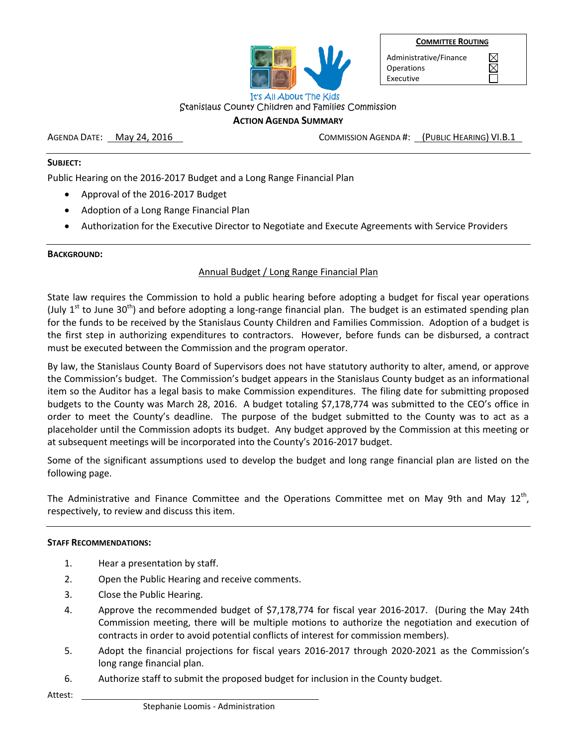

Administrative/Finance **Operations** Executive

 $\boxtimes$  $\boxtimes$ 

Stanislaus County Children and Families Commission

### **ACTION AGENDA SUMMARY**

AGENDA DATE: May 24, 2016 March 2016 COMMISSION AGENDA #: (PUBLIC HEARING) VI.B.1

### **SUBJECT:**

Public Hearing on the 2016-2017 Budget and a Long Range Financial Plan

- Approval of the 2016-2017 Budget
- Adoption of a Long Range Financial Plan
- Authorization for the Executive Director to Negotiate and Execute Agreements with Service Providers

### **BACKGROUND:**

### Annual Budget / Long Range Financial Plan

State law requires the Commission to hold a public hearing before adopting a budget for fiscal year operations (July  $1^{st}$  to June 30<sup>th</sup>) and before adopting a long-range financial plan. The budget is an estimated spending plan for the funds to be received by the Stanislaus County Children and Families Commission. Adoption of a budget is the first step in authorizing expenditures to contractors. However, before funds can be disbursed, a contract must be executed between the Commission and the program operator.

By law, the Stanislaus County Board of Supervisors does not have statutory authority to alter, amend, or approve the Commission's budget. The Commission's budget appears in the Stanislaus County budget as an informational item so the Auditor has a legal basis to make Commission expenditures. The filing date for submitting proposed budgets to the County was March 28, 2016. A budget totaling \$7,178,774 was submitted to the CEO's office in order to meet the County's deadline. The purpose of the budget submitted to the County was to act as a placeholder until the Commission adopts its budget. Any budget approved by the Commission at this meeting or at subsequent meetings will be incorporated into the County's 2016-2017 budget.

Some of the significant assumptions used to develop the budget and long range financial plan are listed on the following page.

The Administrative and Finance Committee and the Operations Committee met on May 9th and May 12<sup>th</sup>, respectively, to review and discuss this item.

### **STAFF RECOMMENDATIONS:**

- 1. Hear a presentation by staff.
- 2. Open the Public Hearing and receive comments.
- 3. Close the Public Hearing.
- 4. Approve the recommended budget of \$7,178,774 for fiscal year 2016-2017. (During the May 24th Commission meeting, there will be multiple motions to authorize the negotiation and execution of contracts in order to avoid potential conflicts of interest for commission members).
- 5. Adopt the financial projections for fiscal years 2016-2017 through 2020-2021 as the Commission's long range financial plan.
- 6. Authorize staff to submit the proposed budget for inclusion in the County budget.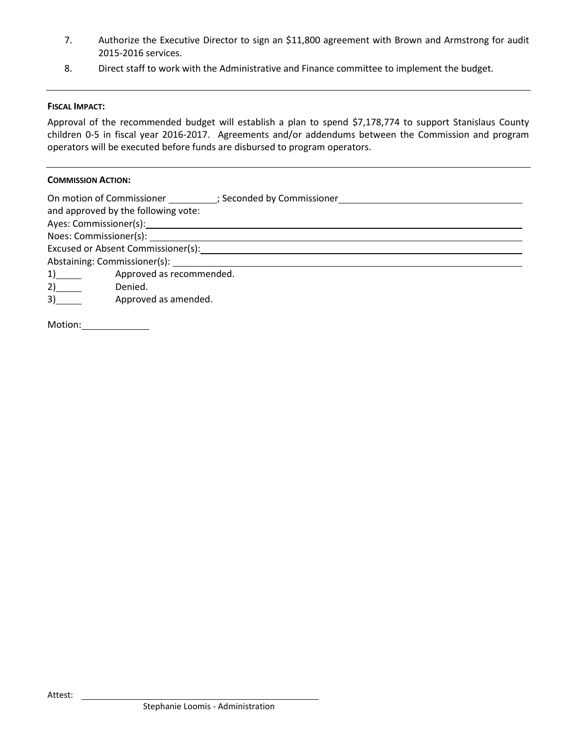- 7. Authorize the Executive Director to sign an \$11,800 agreement with Brown and Armstrong for audit 2015-2016 services.
- 8. Direct staff to work with the Administrative and Finance committee to implement the budget.

### **FISCAL IMPACT:**

Approval of the recommended budget will establish a plan to spend \$7,178,774 to support Stanislaus County children 0-5 in fiscal year 2016-2017. Agreements and/or addendums between the Commission and program operators will be executed before funds are disbursed to program operators.

### **COMMISSION ACTION:**

|    | On motion of Commissioner (3) Seconded by Commissioner<br>and approved by the following vote: |  |  |  |  |  |
|----|-----------------------------------------------------------------------------------------------|--|--|--|--|--|
|    |                                                                                               |  |  |  |  |  |
|    |                                                                                               |  |  |  |  |  |
|    | Excused or Absent Commissioner(s):                                                            |  |  |  |  |  |
|    |                                                                                               |  |  |  |  |  |
| 1) | Approved as recommended.                                                                      |  |  |  |  |  |
| 2) | Denied.                                                                                       |  |  |  |  |  |
| 3) | Approved as amended.                                                                          |  |  |  |  |  |
|    |                                                                                               |  |  |  |  |  |

Motion: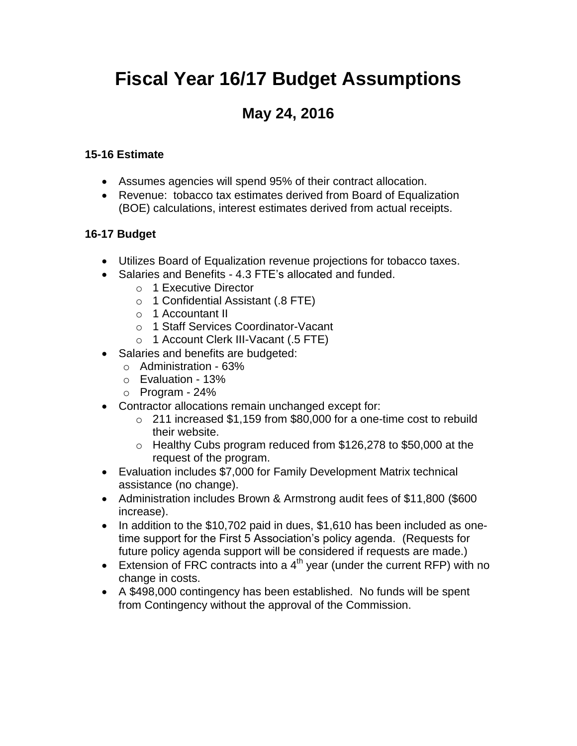# **Fiscal Year 16/17 Budget Assumptions**

# **May 24, 2016**

### **15-16 Estimate**

- Assumes agencies will spend 95% of their contract allocation.
- Revenue: tobacco tax estimates derived from Board of Equalization (BOE) calculations, interest estimates derived from actual receipts.

### **16-17 Budget**

- Utilizes Board of Equalization revenue projections for tobacco taxes.
- Salaries and Benefits 4.3 FTE's allocated and funded.
	- o 1 Executive Director
	- o 1 Confidential Assistant (.8 FTE)
	- o 1 Accountant II
	- o 1 Staff Services Coordinator-Vacant
	- o 1 Account Clerk III-Vacant (.5 FTE)
- Salaries and benefits are budgeted:
	- o Administration 63%
	- o Evaluation 13%
	- $\circ$  Program 24%
- Contractor allocations remain unchanged except for:
	- o 211 increased \$1,159 from \$80,000 for a one-time cost to rebuild their website.
	- o Healthy Cubs program reduced from \$126,278 to \$50,000 at the request of the program.
- Evaluation includes \$7,000 for Family Development Matrix technical assistance (no change).
- Administration includes Brown & Armstrong audit fees of \$11,800 (\$600 increase).
- In addition to the \$10,702 paid in dues, \$1,610 has been included as onetime support for the First 5 Association's policy agenda. (Requests for future policy agenda support will be considered if requests are made.)
- Extension of FRC contracts into a  $4<sup>th</sup>$  year (under the current RFP) with no change in costs.
- A \$498,000 contingency has been established. No funds will be spent from Contingency without the approval of the Commission.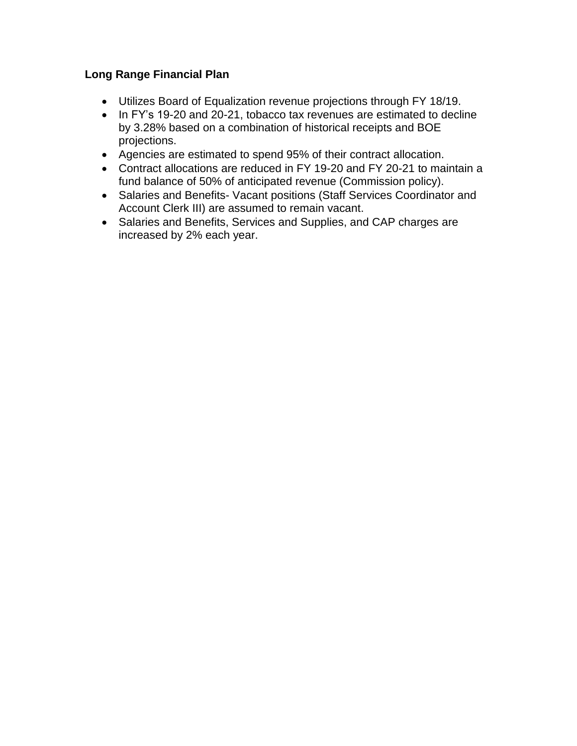### **Long Range Financial Plan**

- Utilizes Board of Equalization revenue projections through FY 18/19.
- In FY's 19-20 and 20-21, tobacco tax revenues are estimated to decline by 3.28% based on a combination of historical receipts and BOE projections.
- Agencies are estimated to spend 95% of their contract allocation.
- Contract allocations are reduced in FY 19-20 and FY 20-21 to maintain a fund balance of 50% of anticipated revenue (Commission policy).
- Salaries and Benefits- Vacant positions (Staff Services Coordinator and Account Clerk III) are assumed to remain vacant.
- Salaries and Benefits, Services and Supplies, and CAP charges are increased by 2% each year.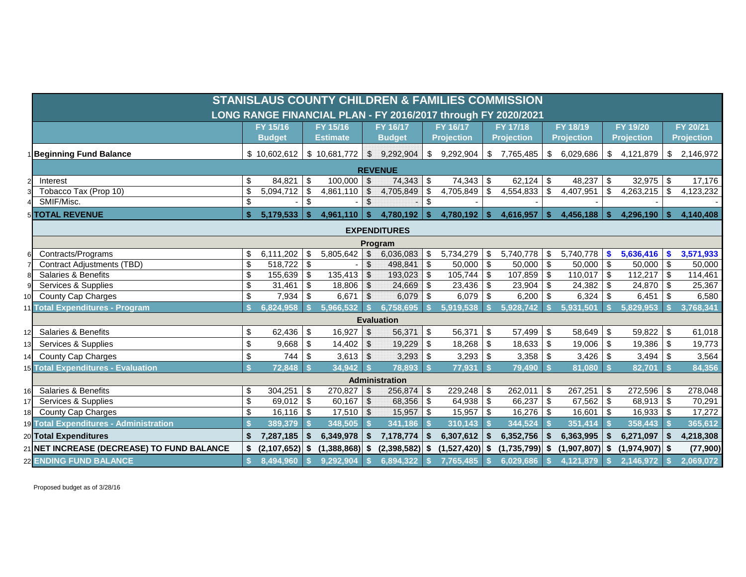|     | <b>STANISLAUS COUNTY CHILDREN &amp; FAMILIES COMMISSION</b>   |                    |                      |                |                 |                           |                       |                           |                   |                           |                   |                           |                   |                           |                   |                           |                   |
|-----|---------------------------------------------------------------|--------------------|----------------------|----------------|-----------------|---------------------------|-----------------------|---------------------------|-------------------|---------------------------|-------------------|---------------------------|-------------------|---------------------------|-------------------|---------------------------|-------------------|
|     | LONG RANGE FINANCIAL PLAN - FY 2016/2017 through FY 2020/2021 |                    |                      |                |                 |                           |                       |                           |                   |                           |                   |                           |                   |                           |                   |                           |                   |
|     |                                                               |                    | FY 15/16             |                | FY 15/16        |                           | FY 16/17              |                           | <b>FY 16/17</b>   |                           | FY 17/18          |                           | FY 18/19          |                           | FY 19/20          |                           | FY 20/21          |
|     |                                                               |                    | <b>Budget</b>        |                | <b>Estimate</b> |                           | <b>Budget</b>         |                           | <b>Projection</b> |                           | <b>Projection</b> |                           | <b>Projection</b> |                           | <b>Projection</b> |                           | <b>Projection</b> |
|     | Beginning Fund Balance                                        |                    | \$10,602,612         |                | \$10,681,772    |                           | \$9,292,904           | $\mathfrak{P}$            | 9,292,904         | $\sqrt[6]{3}$             | 7,765,485         | \$                        | 6,029,686         | \$                        | 4,121,879         | \$                        | 2,146,972         |
|     |                                                               |                    |                      |                |                 |                           | <b>REVENUE</b>        |                           |                   |                           |                   |                           |                   |                           |                   |                           |                   |
|     | Interest                                                      | \$                 | 84,821               | <b>S</b>       | 100,000         | $\mathcal{F}$             | 74,343                | - \$                      | 74,343            | -\$                       | 62,124            | \$                        | 48,237            | \$                        | 32,975            | \$                        | 17,176            |
|     | Tobacco Tax (Prop 10)                                         | \$                 | 5,094,712            | \$             | 4,861,110       | $\boldsymbol{\mathsf{S}}$ | 4,705,849             | $\boldsymbol{\mathsf{S}}$ | 4,705,849         | $\boldsymbol{\mathsf{S}}$ | 4,554,833         | \$                        | 4,407,951         | $\boldsymbol{\mathsf{S}}$ | 4,263,215         | $\boldsymbol{\mathsf{S}}$ | 4,123,232         |
|     | SMIF/Misc.                                                    | \$                 |                      | $\mathfrak{S}$ |                 | $\sqrt{3}$                |                       | \$                        |                   |                           |                   |                           |                   |                           |                   |                           |                   |
|     | 5 TOTAL REVENUE                                               |                    | 5,179,533            | $\mathbf{s}$   | 4,961,110       | $\sqrt{2}$                | 4,780,192             | $\sqrt{2}$                | 4,780,192         | $\mathbf{s}$              | 4,616,957         | $\mathbf{s}$              | 4,456,188         | \$                        | 4,296,190         | \$                        | 4,140,408         |
|     |                                                               |                    |                      |                |                 |                           | <b>EXPENDITURES</b>   |                           |                   |                           |                   |                           |                   |                           |                   |                           |                   |
|     |                                                               |                    |                      |                |                 |                           | Program               |                           |                   |                           |                   |                           |                   |                           |                   |                           |                   |
| 6   | Contracts/Programs                                            | \$                 | 6,111,202            | \$             | 5,805,642       | $\mathfrak{S}$            | 6,036,083             | \$                        | 5,734,279         | - \$                      | 5,740,778         | \$                        | 5,740,778         | S,                        | 5,636,416         | S                         | 3,571,933         |
|     | <b>Contract Adjustments (TBD)</b>                             | \$                 | $518,722$ \$         |                |                 | $\mathbb{S}$              | 498,841               | -\$                       | 50,000            | $\sqrt[6]{3}$             | 50,000            | $\sqrt[6]{3}$             | $50,000$ \$       |                           | 50,000            | $\sqrt{3}$                | 50,000            |
|     | <b>Salaries &amp; Benefits</b>                                | \$                 | $155,639$ \$         |                | 135,413         | $\mathfrak{F}$            | 193,023               | - \$                      | 105,744           | $\sqrt[6]{3}$             | 107,859           | \$                        | $110,017$ \$      |                           | 112,217           | \$                        | 114,461           |
|     | Services & Supplies                                           | \$                 | 31,461               | \$             | 18,806          | $\sqrt[6]{2}$             | 24,669                | $\sqrt{3}$                | 23,436            | \$                        | 23,904            | $\boldsymbol{\mathsf{S}}$ | $24,382$ \$       |                           | 24,870            | \$                        | 25,367            |
| 10  | <b>County Cap Charges</b>                                     | \$                 | $7,934$ \$           |                | $6,671$ \$      |                           | 6,079                 | $\vert$ \$                | $6,079$ \$        |                           | 6,200             | \$                        | $6,324$ \$        |                           | $6,451$ \$        |                           | 6,580             |
|     | 1 Total Expenditures - Program                                |                    | 6,824,958            |                | 5,966,532       |                           | 6,758,695             |                           | 5,919,538         |                           | 5,928,742         |                           | 5,931,501         |                           | 5,829,953         |                           | 3,768,341         |
|     |                                                               |                    |                      |                |                 |                           | <b>Evaluation</b>     |                           |                   |                           |                   |                           |                   |                           |                   |                           |                   |
|     | <b>Salaries &amp; Benefits</b>                                | \$                 |                      |                | 16,927          | $\sqrt{2}$                | 56,371                | $\boldsymbol{\mathsf{S}}$ | 56,371            | $\sqrt[6]{3}$             | 57,499            | $\boldsymbol{\mathsf{S}}$ | 58,649            | \$                        | 59,822            | \$                        | 61,018            |
| 3   | Services & Supplies                                           | \$                 | 9,668                | \$             | 14,402          | $\sqrt[6]{\frac{1}{2}}$   | 19,229                | \$                        | 18,268            | $\sqrt[6]{3}$             | 18,633            | \$                        | 19,006            | $\boldsymbol{\mathsf{S}}$ | 19,386            | \$                        | 19,773            |
| 14  | <b>County Cap Charges</b>                                     | \$                 | 744                  | \$             | $3,613$ \$      |                           | 3,293                 | $\sqrt{3}$                | 3,293             | \$                        | 3,358             | \$                        | 3,426             | \$                        | $3,494$ \$        |                           | 3,564             |
|     | 15 Total Expenditures - Evaluation                            | $\hat{\mathbf{s}}$ | 72,848               |                | 34,942          |                           | 78,893                | $\mathbf{s}$              | 77,931            |                           | 79,490            |                           | 81,080            | $\mathbf{s}$              | 82,701            | -\$                       | 84,356            |
|     |                                                               |                    |                      |                |                 |                           | <b>Administration</b> |                           |                   |                           |                   |                           |                   |                           |                   |                           |                   |
| 16  | Salaries & Benefits                                           | \$                 | 304,251              | \$             | 270,827         | $\mathfrak{L}$            | 256,874               | $\sqrt{3}$                | 229,248           | -\$                       | 262,011           | \$                        | $267,251$ \$      |                           | 272,596           | \$                        | 278,048           |
|     | Services & Supplies                                           | \$                 | 69,012 $\frac{1}{3}$ |                | 60,167          | $\boldsymbol{\mathsf{S}}$ | 68,356                | $\sqrt{3}$                | $64,938$ \$       |                           | 66,237            | $\boldsymbol{\mathsf{S}}$ | 67,562 \$         |                           | $68,913$ \$       |                           | 70,291            |
| 18I | <b>County Cap Charges</b>                                     | \$                 | $16,116$ \$          |                | $17,510$ \$     |                           | 15,957                | -\$                       | 15,957            | \$                        | 16,276            | \$                        | $16,601$ \$       |                           | $16,933$ \$       |                           | 17,272            |
|     | 19 Total Expenditures - Administration                        |                    | 389,379              |                | 348,505         |                           | 341,186               |                           | 310,143           |                           | 344,524           |                           | 351,414           | -\$                       | 358,443           |                           | 365,612           |
|     | 20 Total Expenditures                                         | \$                 | 7,287,185            | S.             | 6,349,978       | $\mathbf{s}$              | 7,178,774             | \$                        | 6,307,612         | -\$                       | 6,352,756         | Ŝ.                        | 6,363,995         | \$                        | 6,271,097         | \$                        | 4,218,308         |
|     | 21 NET INCREASE (DECREASE) TO FUND BALANCE                    | \$                 | (2,107,652)          | - \$           | (1, 388, 868)   | \$                        | $(2,398,582)$ \$      |                           | $(1,527,420)$ \$  |                           | (1,735,799)       | Ŝ.                        | (1,907,807)       | \$                        | $(1,974,907)$ \$  |                           | (77,900)          |
|     | 22 ENDING FUND BALANCE                                        |                    | 8,494,960            |                | 9,292,904       |                           | 6,894,322             | S.                        | 7,765,485         |                           | 6,029,686         |                           | 4,121,879         |                           | 2,146,972         |                           | 2,069,072         |

Proposed budget as of 3/28/16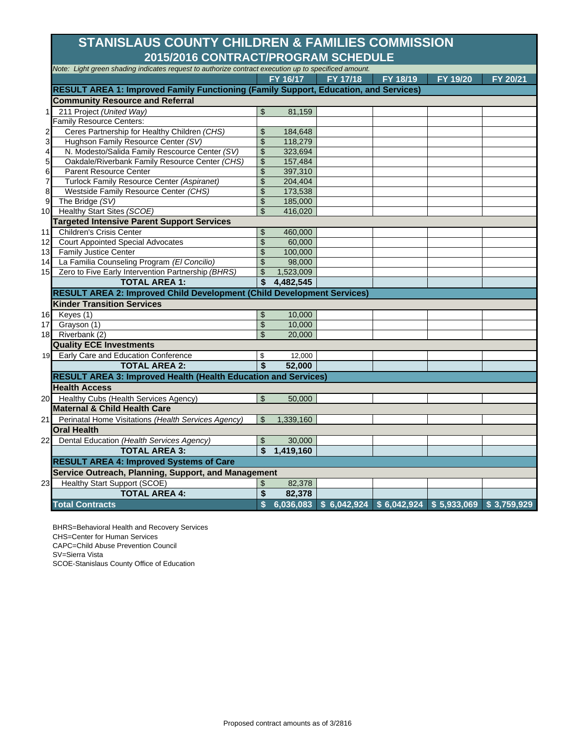## **2015/2016 CONTRACT/PROGRAM SCHEDULE STANISLAUS COUNTY CHILDREN & FAMILIES COMMISSION**

|                | Note: Light green shading indicates request to authorize contract execution up to specificed amount. |                |           |          |                                                                 |          |          |
|----------------|------------------------------------------------------------------------------------------------------|----------------|-----------|----------|-----------------------------------------------------------------|----------|----------|
|                |                                                                                                      |                | FY 16/17  | FY 17/18 | FY 18/19                                                        | FY 19/20 | FY 20/21 |
|                | RESULT AREA 1: Improved Family Functioning (Family Support, Education, and Services)                 |                |           |          |                                                                 |          |          |
|                | <b>Community Resource and Referral</b>                                                               |                |           |          |                                                                 |          |          |
| 11             | 211 Project (United Way)                                                                             | $\frac{1}{2}$  | 81,159    |          |                                                                 |          |          |
|                | Family Resource Centers:                                                                             |                |           |          |                                                                 |          |          |
| $\mathbf{2}$   | Ceres Partnership for Healthy Children (CHS)                                                         | \$             | 184,648   |          |                                                                 |          |          |
| 3 <sup>1</sup> | Hughson Family Resource Center (SV)                                                                  | \$             | 118,279   |          |                                                                 |          |          |
| $\overline{4}$ | N. Modesto/Salida Family Rescource Center (SV)                                                       | \$             | 323,694   |          |                                                                 |          |          |
| 5 <sub>l</sub> | Oakdale/Riverbank Family Resource Center (CHS)                                                       | \$             | 157,484   |          |                                                                 |          |          |
| 6              | <b>Parent Resource Center</b>                                                                        | \$             | 397,310   |          |                                                                 |          |          |
| $\overline{7}$ | Turlock Family Resource Center (Aspiranet)                                                           | \$             | 204,404   |          |                                                                 |          |          |
| 8 <sup>1</sup> | Westside Family Resource Center (CHS)                                                                | \$             | 173,538   |          |                                                                 |          |          |
| 9              | The Bridge (SV)                                                                                      | \$             | 185,000   |          |                                                                 |          |          |
|                | 10 Healthy Start Sites (SCOE)                                                                        | $\mathfrak{S}$ | 416,020   |          |                                                                 |          |          |
|                | <b>Targeted Intensive Parent Support Services</b>                                                    |                |           |          |                                                                 |          |          |
| 11             | Children's Crisis Center                                                                             | \$             | 460,000   |          |                                                                 |          |          |
| 12             | <b>Court Appointed Special Advocates</b>                                                             | \$             | 60,000    |          |                                                                 |          |          |
|                | 13 Family Justice Center                                                                             | $\mathfrak{S}$ | 100,000   |          |                                                                 |          |          |
|                | 14 La Familia Counseling Program (El Concilio)                                                       | \$             | 98,000    |          |                                                                 |          |          |
| 15             | Zero to Five Early Intervention Partnership (BHRS)                                                   | \$             | 1,523,009 |          |                                                                 |          |          |
|                | <b>TOTAL AREA 1:</b>                                                                                 | \$             | 4,482,545 |          |                                                                 |          |          |
|                | RESULT AREA 2: Improved Child Development (Child Development Services)                               |                |           |          |                                                                 |          |          |
|                | <b>Kinder Transition Services</b>                                                                    |                |           |          |                                                                 |          |          |
|                | 16 Keyes (1)                                                                                         | \$             | 10,000    |          |                                                                 |          |          |
|                | 17 Grayson (1)                                                                                       | \$             | 10,000    |          |                                                                 |          |          |
|                | 18 Riverbank (2)                                                                                     | \$             | 20,000    |          |                                                                 |          |          |
|                | <b>Quality ECE Investments</b>                                                                       |                |           |          |                                                                 |          |          |
|                | 19 Early Care and Education Conference                                                               | \$             | 12,000    |          |                                                                 |          |          |
|                | <b>TOTAL AREA 2:</b>                                                                                 | \$             | 52,000    |          |                                                                 |          |          |
|                | <b>RESULT AREA 3: Improved Health (Health Education and Services)</b>                                |                |           |          |                                                                 |          |          |
|                | <b>Health Access</b>                                                                                 |                |           |          |                                                                 |          |          |
|                | 20 Healthy Cubs (Health Services Agency)                                                             | $\mathbb{S}$   | 50,000    |          |                                                                 |          |          |
|                | <b>Maternal &amp; Child Health Care</b>                                                              |                |           |          |                                                                 |          |          |
|                | 21 Perinatal Home Visitations (Health Services Agency)                                               | \$             | 1,339,160 |          |                                                                 |          |          |
|                | <b>Oral Health</b>                                                                                   |                |           |          |                                                                 |          |          |
| 22             | Dental Education (Health Services Agency)                                                            | \$             | 30,000    |          |                                                                 |          |          |
|                | <b>TOTAL AREA 3:</b>                                                                                 | \$             | 1,419,160 |          |                                                                 |          |          |
|                | <b>RESULT AREA 4: Improved Systems of Care</b>                                                       |                |           |          |                                                                 |          |          |
|                | Service Outreach, Planning, Support, and Management                                                  |                |           |          |                                                                 |          |          |
| 23             | <b>Healthy Start Support (SCOE)</b>                                                                  | \$             | 82,378    |          |                                                                 |          |          |
|                | <b>TOTAL AREA 4:</b>                                                                                 | \$             | 82,378    |          |                                                                 |          |          |
|                | <b>Total Contracts</b>                                                                               | \$             |           |          | $6,036,083$ \$ 6,042,924 \$ 6,042,924 \$ 5,933,069 \$ 3,759,929 |          |          |
|                |                                                                                                      |                |           |          |                                                                 |          |          |

BHRS=Behavioral Health and Recovery Services

CHS=Center for Human Services

CAPC=Child Abuse Prevention Council

SV=Sierra Vista

SCOE-Stanislaus County Office of Education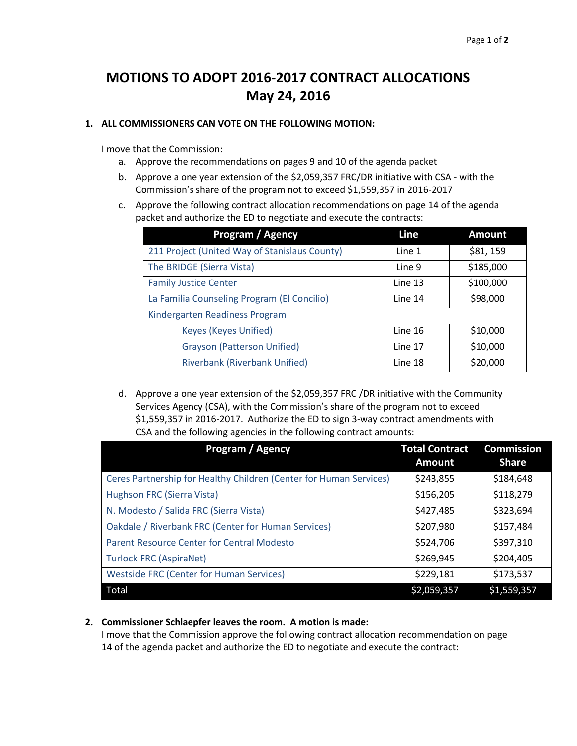## **MOTIONS TO ADOPT 2016-2017 CONTRACT ALLOCATIONS May 24, 2016**

### **1. ALL COMMISSIONERS CAN VOTE ON THE FOLLOWING MOTION:**

I move that the Commission:

- a. Approve the recommendations on pages 9 and 10 of the agenda packet
- b. Approve a one year extension of the \$2,059,357 FRC/DR initiative with CSA with the Commission's share of the program not to exceed \$1,559,357 in 2016-2017
- c. Approve the following contract allocation recommendations on page 14 of the agenda packet and authorize the ED to negotiate and execute the contracts:

| Program / Agency                              | Line    | <b>Amount</b> |
|-----------------------------------------------|---------|---------------|
| 211 Project (United Way of Stanislaus County) | Line 1  | \$81,159      |
| The BRIDGE (Sierra Vista)                     | Line 9  | \$185,000     |
| <b>Family Justice Center</b>                  | Line 13 | \$100,000     |
| La Familia Counseling Program (El Concilio)   | Line 14 | \$98,000      |
| Kindergarten Readiness Program                |         |               |
| <b>Keyes (Keyes Unified)</b>                  | Line 16 | \$10,000      |
| <b>Grayson (Patterson Unified)</b>            | Line 17 | \$10,000      |
| <b>Riverbank (Riverbank Unified)</b>          | Line 18 | \$20,000      |

d. Approve a one year extension of the \$2,059,357 FRC /DR initiative with the Community Services Agency (CSA), with the Commission's share of the program not to exceed \$1,559,357 in 2016-2017. Authorize the ED to sign 3-way contract amendments with CSA and the following agencies in the following contract amounts:

| <b>Program / Agency</b>                                            | <b>Total Contract</b><br><b>Amount</b> | <b>Commission</b><br><b>Share</b> |
|--------------------------------------------------------------------|----------------------------------------|-----------------------------------|
| Ceres Partnership for Healthy Children (Center for Human Services) | \$243,855                              | \$184,648                         |
| Hughson FRC (Sierra Vista)                                         | \$156,205                              | \$118,279                         |
| N. Modesto / Salida FRC (Sierra Vista)                             | \$427,485                              | \$323,694                         |
| Oakdale / Riverbank FRC (Center for Human Services)                | \$207,980                              | \$157,484                         |
| Parent Resource Center for Central Modesto                         | \$524,706                              | \$397,310                         |
| <b>Turlock FRC (AspiraNet)</b>                                     | \$269,945                              | \$204,405                         |
| <b>Westside FRC (Center for Human Services)</b>                    | \$229,181                              | \$173,537                         |
| Total                                                              | \$2,059,357                            | \$1,559,357                       |

#### **2. Commissioner Schlaepfer leaves the room. A motion is made:**

I move that the Commission approve the following contract allocation recommendation on page 14 of the agenda packet and authorize the ED to negotiate and execute the contract: